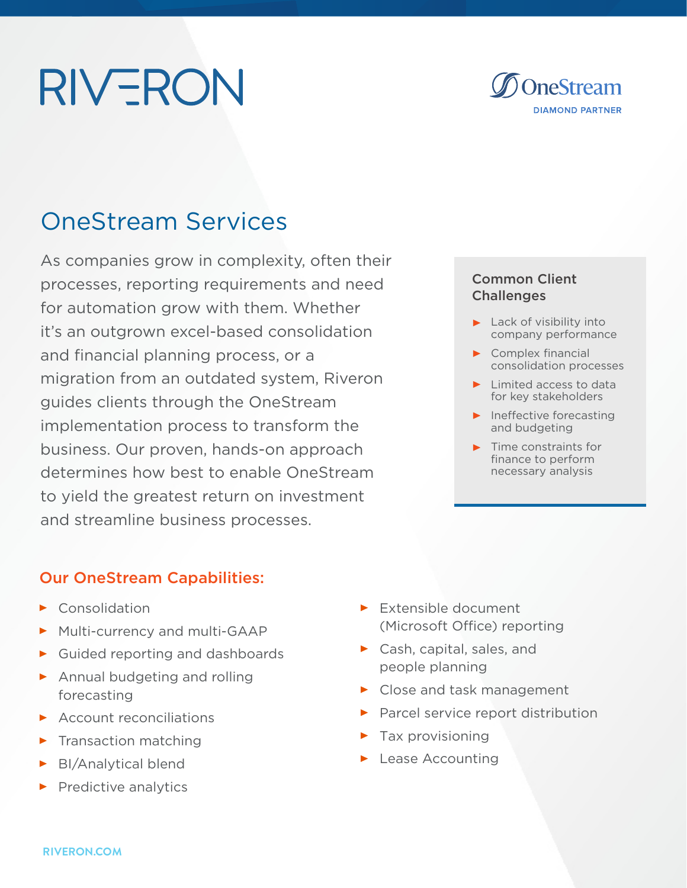# **RIVERON**



# OneStream Services

As companies grow in complexity, often their processes, reporting requirements and need for automation grow with them. Whether it's an outgrown excel-based consolidation and financial planning process, or a migration from an outdated system, Riveron guides clients through the OneStream implementation process to transform the business. Our proven, hands-on approach determines how best to enable OneStream to yield the greatest return on investment and streamline business processes.

### Our OneStream Capabilities:

- $\blacktriangleright$  Consolidation
- Multi-currency and multi-GAAP
- Guided reporting and dashboards
- Annual budgeting and rolling forecasting
- $\triangleright$  Account reconciliations
- $\blacktriangleright$  Transaction matching
- BI/Analytical blend
- $\blacktriangleright$  Predictive analytics
- Extensible document (Microsoft Office) reporting
- ▶ Cash, capital, sales, and people planning
- ▶ Close and task management
- Parcel service report distribution
- $\blacktriangleright$  Tax provisioning
- **Lease Accounting**

### Common Client **Challenges**

- $\blacktriangleright$  Lack of visibility into company performance
- $\triangleright$  Complex financial consolidation processes
- $\blacktriangleright$  Limited access to data for key stakeholders
- $\blacktriangleright$  Ineffective forecasting and budgeting
- $\blacktriangleright$  Time constraints for finance to perform necessary analysis